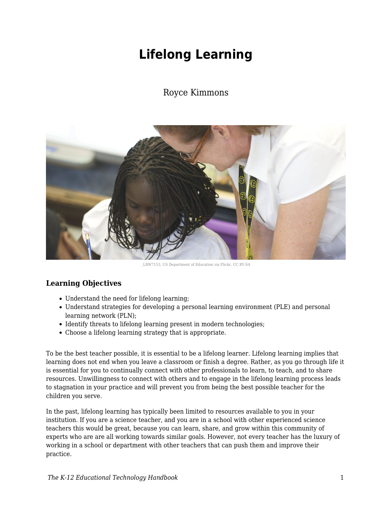# **Lifelong Learning**

# Royce Kimmons



\_LBW7153, US Department of Education via Flickr, CC BY-SA

# **Learning Objectives**

- Understand the need for lifelong learning;
- Understand strategies for developing a personal learning environment (PLE) and personal learning network (PLN);
- Identify threats to lifelong learning present in modern technologies;
- Choose a lifelong learning strategy that is appropriate.

To be the best teacher possible, it is essential to be a lifelong learner. Lifelong learning implies that learning does not end when you leave a classroom or finish a degree. Rather, as you go through life it is essential for you to continually connect with other professionals to learn, to teach, and to share resources. Unwillingness to connect with others and to engage in the lifelong learning process leads to stagnation in your practice and will prevent you from being the best possible teacher for the children you serve.

In the past, lifelong learning has typically been limited to resources available to you in your institution. If you are a science teacher, and you are in a school with other experienced science teachers this would be great, because you can learn, share, and grow within this community of experts who are are all working towards similar goals. However, not every teacher has the luxury of working in a school or department with other teachers that can push them and improve their practice.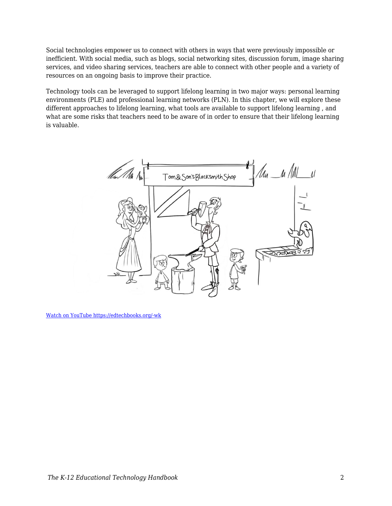Social technologies empower us to connect with others in ways that were previously impossible or inefficient. With social media, such as blogs, social networking sites, discussion forum, image sharing services, and video sharing services, teachers are able to connect with other people and a variety of resources on an ongoing basis to improve their practice.

Technology tools can be leveraged to support lifelong learning in two major ways: personal learning environments (PLE) and professional learning networks (PLN). In this chapter, we will explore these different approaches to lifelong learning, what tools are available to support lifelong learning , and what are some risks that teachers need to be aware of in order to ensure that their lifelong learning is valuable.



[Watch on YouTube https://edtechbooks.org/-wk](https://www.youtube.com/embed/NSU2hdlY3BY?autoplay=1&rel=0&showinfo=0&modestbranding=1)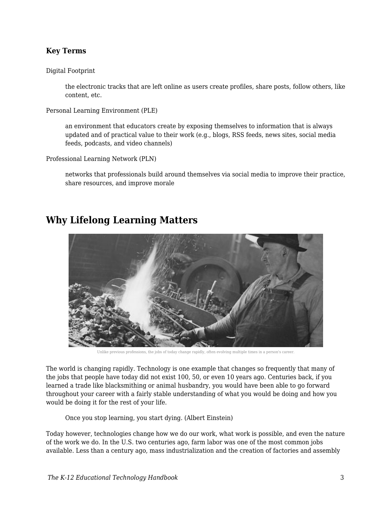### **Key Terms**

Digital Footprint

the electronic tracks that are left online as users create profiles, share posts, follow others, like content, etc.

Personal Learning Environment (PLE)

an environment that educators create by exposing themselves to information that is always updated and of practical value to their work (e.g., blogs, RSS feeds, news sites, social media feeds, podcasts, and video channels)

Professional Learning Network (PLN)

networks that professionals build around themselves via social media to improve their practice, share resources, and improve morale



# **Why Lifelong Learning Matters**

Unlike previous professions, the jobs of today change rapidly, often evolving multiple times in a person's career.

The world is changing rapidly. Technology is one example that changes so frequently that many of the jobs that people have today did not exist 100, 50, or even 10 years ago. Centuries back, if you learned a trade like blacksmithing or animal husbandry, you would have been able to go forward throughout your career with a fairly stable understanding of what you would be doing and how you would be doing it for the rest of your life.

Once you stop learning, you start dying. (Albert Einstein)

Today however, technologies change how we do our work, what work is possible, and even the nature of the work we do. In the U.S. two centuries ago, farm labor was one of the most common jobs available. Less than a century ago, mass industrialization and the creation of factories and assembly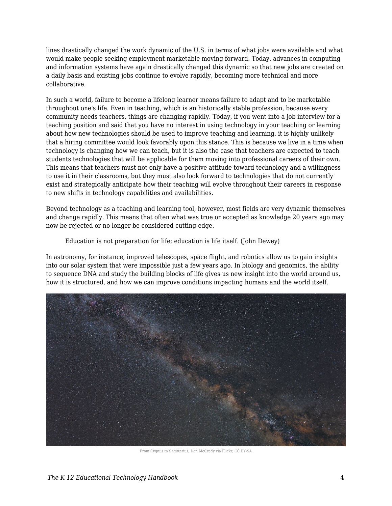lines drastically changed the work dynamic of the U.S. in terms of what jobs were available and what would make people seeking employment marketable moving forward. Today, advances in computing and information systems have again drastically changed this dynamic so that new jobs are created on a daily basis and existing jobs continue to evolve rapidly, becoming more technical and more collaborative.

In such a world, failure to become a lifelong learner means failure to adapt and to be marketable throughout one's life. Even in teaching, which is an historically stable profession, because every community needs teachers, things are changing rapidly. Today, if you went into a job interview for a teaching position and said that you have no interest in using technology in your teaching or learning about how new technologies should be used to improve teaching and learning, it is highly unlikely that a hiring committee would look favorably upon this stance. This is because we live in a time when technology is changing how we can teach, but it is also the case that teachers are expected to teach students technologies that will be applicable for them moving into professional careers of their own. This means that teachers must not only have a positive attitude toward technology and a willingness to use it in their classrooms, but they must also look forward to technologies that do not currently exist and strategically anticipate how their teaching will evolve throughout their careers in response to new shifts in technology capabilities and availabilities.

Beyond technology as a teaching and learning tool, however, most fields are very dynamic themselves and change rapidly. This means that often what was true or accepted as knowledge 20 years ago may now be rejected or no longer be considered cutting-edge.

Education is not preparation for life; education is life itself. (John Dewey)

In astronomy, for instance, improved telescopes, space flight, and robotics allow us to gain insights into our solar system that were impossible just a few years ago. In biology and genomics, the ability to sequence DNA and study the building blocks of life gives us new insight into the world around us, how it is structured, and how we can improve conditions impacting humans and the world itself.



From Cygnus to Sagittarius, Don McCrady via Flickr, CC BY-SA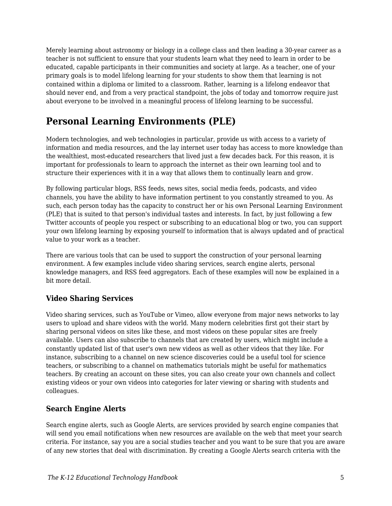Merely learning about astronomy or biology in a college class and then leading a 30-year career as a teacher is not sufficient to ensure that your students learn what they need to learn in order to be educated, capable participants in their communities and society at large. As a teacher, one of your primary goals is to model lifelong learning for your students to show them that learning is not contained within a diploma or limited to a classroom. Rather, learning is a lifelong endeavor that should never end, and from a very practical standpoint, the jobs of today and tomorrow require just about everyone to be involved in a meaningful process of lifelong learning to be successful.

# **Personal Learning Environments (PLE)**

Modern technologies, and web technologies in particular, provide us with access to a variety of information and media resources, and the lay internet user today has access to more knowledge than the wealthiest, most-educated researchers that lived just a few decades back. For this reason, it is important for professionals to learn to approach the internet as their own learning tool and to structure their experiences with it in a way that allows them to continually learn and grow.

By following particular blogs, RSS feeds, news sites, social media feeds, podcasts, and video channels, you have the ability to have information pertinent to you constantly streamed to you. As such, each person today has the capacity to construct her or his own Personal Learning Environment (PLE) that is suited to that person's individual tastes and interests. In fact, by just following a few Twitter accounts of people you respect or subscribing to an educational blog or two, you can support your own lifelong learning by exposing yourself to information that is always updated and of practical value to your work as a teacher.

There are various tools that can be used to support the construction of your personal learning environment. A few examples include video sharing services, search engine alerts, personal knowledge managers, and RSS feed aggregators. Each of these examples will now be explained in a bit more detail.

# **Video Sharing Services**

Video sharing services, such as YouTube or Vimeo, allow everyone from major news networks to lay users to upload and share videos with the world. Many modern celebrities first got their start by sharing personal videos on sites like these, and most videos on these popular sites are freely available. Users can also subscribe to channels that are created by users, which might include a constantly updated list of that user's own new videos as well as other videos that they like. For instance, subscribing to a channel on new science discoveries could be a useful tool for science teachers, or subscribing to a channel on mathematics tutorials might be useful for mathematics teachers. By creating an account on these sites, you can also create your own channels and collect existing videos or your own videos into categories for later viewing or sharing with students and colleagues.

### **Search Engine Alerts**

Search engine alerts, such as Google Alerts, are services provided by search engine companies that will send you email notifications when new resources are available on the web that meet your search criteria. For instance, say you are a social studies teacher and you want to be sure that you are aware of any new stories that deal with discrimination. By creating a Google Alerts search criteria with the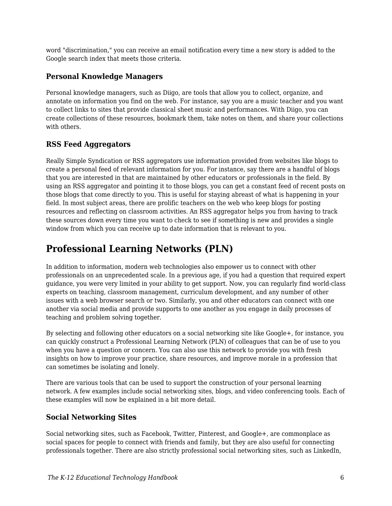word "discrimination," you can receive an email notification every time a new story is added to the Google search index that meets those criteria.

# **Personal Knowledge Managers**

Personal knowledge managers, such as Diigo, are tools that allow you to collect, organize, and annotate on information you find on the web. For instance, say you are a music teacher and you want to collect links to sites that provide classical sheet music and performances. With Diigo, you can create collections of these resources, bookmark them, take notes on them, and share your collections with others.

# **RSS Feed Aggregators**

Really Simple Syndication or RSS aggregators use information provided from websites like blogs to create a personal feed of relevant information for you. For instance, say there are a handful of blogs that you are interested in that are maintained by other educators or professionals in the field. By using an RSS aggregator and pointing it to those blogs, you can get a constant feed of recent posts on those blogs that come directly to you. This is useful for staying abreast of what is happening in your field. In most subject areas, there are prolific teachers on the web who keep blogs for posting resources and reflecting on classroom activities. An RSS aggregator helps you from having to track these sources down every time you want to check to see if something is new and provides a single window from which you can receive up to date information that is relevant to you.

# **Professional Learning Networks (PLN)**

In addition to information, modern web technologies also empower us to connect with other professionals on an unprecedented scale. In a previous age, if you had a question that required expert guidance, you were very limited in your ability to get support. Now, you can regularly find world-class experts on teaching, classroom management, curriculum development, and any number of other issues with a web browser search or two. Similarly, you and other educators can connect with one another via social media and provide supports to one another as you engage in daily processes of teaching and problem solving together.

By selecting and following other educators on a social networking site like Google+, for instance, you can quickly construct a Professional Learning Network (PLN) of colleagues that can be of use to you when you have a question or concern. You can also use this network to provide you with fresh insights on how to improve your practice, share resources, and improve morale in a profession that can sometimes be isolating and lonely.

There are various tools that can be used to support the construction of your personal learning network. A few examples include social networking sites, blogs, and video conferencing tools. Each of these examples will now be explained in a bit more detail.

# **Social Networking Sites**

Social networking sites, such as Facebook, Twitter, Pinterest, and Google+, are commonplace as social spaces for people to connect with friends and family, but they are also useful for connecting professionals together. There are also strictly professional social networking sites, such as LinkedIn,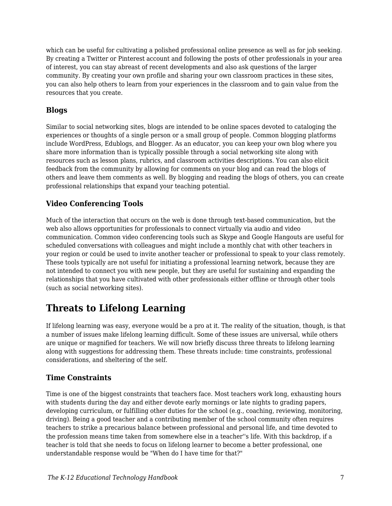which can be useful for cultivating a polished professional online presence as well as for job seeking. By creating a Twitter or Pinterest account and following the posts of other professionals in your area of interest, you can stay abreast of recent developments and also ask questions of the larger community. By creating your own profile and sharing your own classroom practices in these sites, you can also help others to learn from your experiences in the classroom and to gain value from the resources that you create.

### **Blogs**

Similar to social networking sites, blogs are intended to be online spaces devoted to cataloging the experiences or thoughts of a single person or a small group of people. Common blogging platforms include WordPress, Edublogs, and Blogger. As an educator, you can keep your own blog where you share more information than is typically possible through a social networking site along with resources such as lesson plans, rubrics, and classroom activities descriptions. You can also elicit feedback from the community by allowing for comments on your blog and can read the blogs of others and leave them comments as well. By blogging and reading the blogs of others, you can create professional relationships that expand your teaching potential.

# **Video Conferencing Tools**

Much of the interaction that occurs on the web is done through text-based communication, but the web also allows opportunities for professionals to connect virtually via audio and video communication. Common video conferencing tools such as Skype and Google Hangouts are useful for scheduled conversations with colleagues and might include a monthly chat with other teachers in your region or could be used to invite another teacher or professional to speak to your class remotely. These tools typically are not useful for initiating a professional learning network, because they are not intended to connect you with new people, but they are useful for sustaining and expanding the relationships that you have cultivated with other professionals either offline or through other tools (such as social networking sites).

# **Threats to Lifelong Learning**

If lifelong learning was easy, everyone would be a pro at it. The reality of the situation, though, is that a number of issues make lifelong learning difficult. Some of these issues are universal, while others are unique or magnified for teachers. We will now briefly discuss three threats to lifelong learning along with suggestions for addressing them. These threats include: time constraints, professional considerations, and sheltering of the self.

# **Time Constraints**

Time is one of the biggest constraints that teachers face. Most teachers work long, exhausting hours with students during the day and either devote early mornings or late nights to grading papers, developing curriculum, or fulfilling other duties for the school (e.g., coaching, reviewing, monitoring, driving). Being a good teacher and a contributing member of the school community often requires teachers to strike a precarious balance between professional and personal life, and time devoted to the profession means time taken from somewhere else in a teacher''s life. With this backdrop, if a teacher is told that she needs to focus on lifelong learner to become a better professional, one understandable response would be "When do I have time for that?"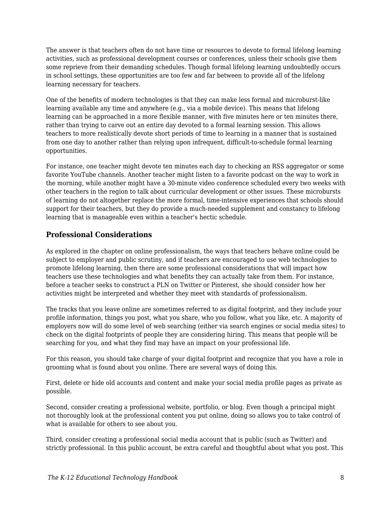The answer is that teachers often do not have time or resources to devote to formal lifelong learning activities, such as professional development courses or conferences, unless their schools give them some reprieve from their demanding schedules. Though formal lifelong learning undoubtedly occurs in school settings, these opportunities are too few and far between to provide all of the lifelong learning necessary for teachers.

One of the benefits of modern technologies is that they can make less formal and microburst-like learning available any time and anywhere (e.g., via a mobile device). This means that lifelong learning can be approached in a more flexible manner, with five minutes here or ten minutes there, rather than trying to carve out an entire day devoted to a formal learning session. This allows teachers to more realistically devote short periods of time to learning in a manner that is sustained from one day to another rather than relying upon infrequent, difficult-to-schedule formal learning opportunities.

For instance, one teacher might devote ten minutes each day to checking an RSS aggregator or some favorite YouTube channels. Another teacher might listen to a favorite podcast on the way to work in the morning, while another might have a 30-minute video conference scheduled every two weeks with other teachers in the region to talk about curricular development or other issues. These microbursts of learning do not altogether replace the more formal, time-intensive experiences that schools should support for their teachers, but they do provide a much-needed supplement and constancy to lifelong learning that is manageable even within a teacher's hectic schedule.

# **Professional Considerations**

As explored in the chapter on online professionalism, the ways that teachers behave online could be subject to employer and public scrutiny, and if teachers are encouraged to use web technologies to promote lifelong learning, then there are some professional considerations that will impact how teachers use these technologies and what benefits they can actually take from them. For instance, before a teacher seeks to construct a PLN on Twitter or Pinterest, she should consider how her activities might be interpreted and whether they meet with standards of professionalism.

The tracks that you leave online are sometimes referred to as digital footprint, and they include your profile information, things you post, what you share, who you follow, what you like, etc. A majority of employers now will do some level of web searching (either via search engines or social media sites) to check on the digital footprints of people they are considering hiring. This means that people will be searching for you, and what they find may have an impact on your professional life.

For this reason, you should take charge of your digital footprint and recognize that you have a role in grooming what is found about you online. There are several ways of doing this.

First, delete or hide old accounts and content and make your social media profile pages as private as possible.

Second, consider creating a professional website, portfolio, or blog. Even though a principal might not thoroughly look at the professional content you put online, doing so allows you to take control of what is available for others to see about you.

Third, consider creating a professional social media account that is public (such as Twitter) and strictly professional. In this public account, be extra careful and thoughtful about what you post. This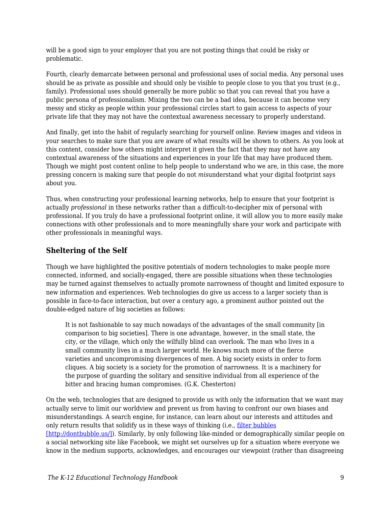will be a good sign to your employer that you are not posting things that could be risky or problematic.

Fourth, clearly demarcate between personal and professional uses of social media. Any personal uses should be as private as possible and should only be visible to people close to you that you trust (e.g., family). Professional uses should generally be more public so that you can reveal that you have a public persona of professionalism. Mixing the two can be a bad idea, because it can become very messy and sticky as people within your professional circles start to gain access to aspects of your private life that they may not have the contextual awareness necessary to properly understand.

And finally, get into the habit of regularly searching for yourself online. Review images and videos in your searches to make sure that you are aware of what results will be shown to others. As you look at this content, consider how others might interpret it given the fact that they may not have any contextual awareness of the situations and experiences in your life that may have produced them. Though we might post content online to help people to understand who we are, in this case, the more pressing concern is making sure that people do not *mis*understand what your digital footprint says about you.

Thus, when constructing your professional learning networks, help to ensure that your footprint is actually *professional* in these networks rather than a difficult-to-decipher mix of personal with professional. If you truly do have a professional footprint online, it will allow you to more easily make connections with other professionals and to more meaningfully share your work and participate with other professionals in meaningful ways.

### **Sheltering of the Self**

Though we have highlighted the positive potentials of modern technologies to make people more connected, informed, and socially-engaged, there are possible situations when these technologies may be turned against themselves to actually promote narrowness of thought and limited exposure to new information and experiences. Web technologies do give us access to a larger society than is possible in face-to-face interaction, but over a century ago, a prominent author pointed out the double-edged nature of big societies as follows:

It is not fashionable to say much nowadays of the advantages of the small community [in comparison to big societies]. There is one advantage, however, in the small state, the city, or the village, which only the wilfully blind can overlook. The man who lives in a small community lives in a much larger world. He knows much more of the fierce varieties and uncompromising divergences of men. A big society exists in order to form cliques. A big society is a society for the promotion of narrowness. It is a machinery for the purpose of guarding the solitary and sensitive individual from all experience of the bitter and bracing human compromises. (G.K. Chesterton)

On the web, technologies that are designed to provide us with only the information that we want may actually serve to limit our worldview and prevent us from having to confront our own biases and misunderstandings. A search engine, for instance, can learn about our interests and attitudes and only return results that solidify us in these ways of thinking (i.e., [filter bubbles](http://dontbubble.us/) [\[http://dontbubble.us/\]](http://dontbubble.us/)). Similarly, by only following like-minded or demographically similar people on a social networking site like Facebook, we might set ourselves up for a situation where everyone we know in the medium supports, acknowledges, and encourages our viewpoint (rather than disagreeing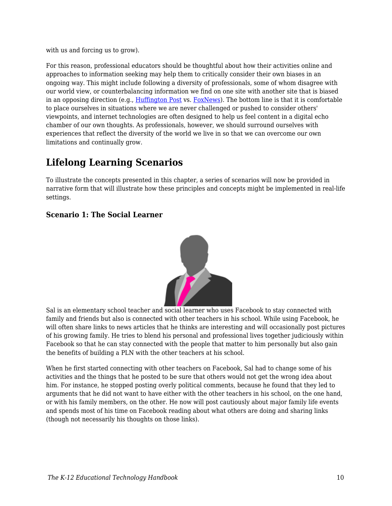with us and forcing us to grow).

For this reason, professional educators should be thoughtful about how their activities online and approaches to information seeking may help them to critically consider their own biases in an ongoing way. This might include following a diversity of professionals, some of whom disagree with our world view, or counterbalancing information we find on one site with another site that is biased in an opposing direction (e.g., [Huffington Post](http://www.huffingtonpost.com/) vs. [FoxNews](http://www.foxnews.com/)). The bottom line is that it is comfortable to place ourselves in situations where we are never challenged or pushed to consider others' viewpoints, and internet technologies are often designed to help us feel content in a digital echo chamber of our own thoughts. As professionals, however, we should surround ourselves with experiences that reflect the diversity of the world we live in so that we can overcome our own limitations and continually grow.

# **Lifelong Learning Scenarios**

To illustrate the concepts presented in this chapter, a series of scenarios will now be provided in narrative form that will illustrate how these principles and concepts might be implemented in real-life settings.

### **Scenario 1: The Social Learner**



Sal is an elementary school teacher and social learner who uses Facebook to stay connected with family and friends but also is connected with other teachers in his school. While using Facebook, he will often share links to news articles that he thinks are interesting and will occasionally post pictures of his growing family. He tries to blend his personal and professional lives together judiciously within Facebook so that he can stay connected with the people that matter to him personally but also gain the benefits of building a PLN with the other teachers at his school.

When he first started connecting with other teachers on Facebook, Sal had to change some of his activities and the things that he posted to be sure that others would not get the wrong idea about him. For instance, he stopped posting overly political comments, because he found that they led to arguments that he did not want to have either with the other teachers in his school, on the one hand, or with his family members, on the other. He now will post cautiously about major family life events and spends most of his time on Facebook reading about what others are doing and sharing links (though not necessarily his thoughts on those links).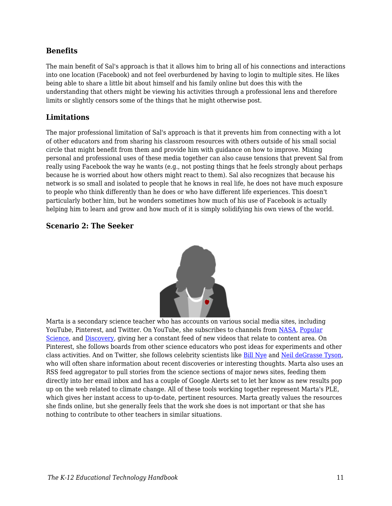#### **Benefits**

The main benefit of Sal's approach is that it allows him to bring all of his connections and interactions into one location (Facebook) and not feel overburdened by having to login to multiple sites. He likes being able to share a little bit about himself and his family online but does this with the understanding that others might be viewing his activities through a professional lens and therefore limits or slightly censors some of the things that he might otherwise post.

#### **Limitations**

The major professional limitation of Sal's approach is that it prevents him from connecting with a lot of other educators and from sharing his classroom resources with others outside of his small social circle that might benefit from them and provide him with guidance on how to improve. Mixing personal and professional uses of these media together can also cause tensions that prevent Sal from really using Facebook the way he wants (e.g., not posting things that he feels strongly about perhaps because he is worried about how others might react to them). Sal also recognizes that because his network is so small and isolated to people that he knows in real life, he does not have much exposure to people who think differently than he does or who have different life experiences. This doesn't particularly bother him, but he wonders sometimes how much of his use of Facebook is actually helping him to learn and grow and how much of it is simply solidifying his own views of the world.

### **Scenario 2: The Seeker**



Marta is a secondary science teacher who has accounts on various social media sites, including YouTube, Pinterest, and Twitter. On YouTube, she subscribes to channels from [NASA,](https://www.youtube.com/user/NASAtelevision) [Popular](https://www.youtube.com/user/Popscivideo) [Science,](https://www.youtube.com/user/Popscivideo) and [Discovery](https://www.youtube.com/user/DiscoveryNetworks), giving her a constant feed of new videos that relate to content area. On Pinterest, she follows boards from other science educators who post ideas for experiments and other class activities. And on Twitter, she follows celebrity scientists like [Bill Nye](https://twitter.com/BillNye) and [Neil deGrasse Tyson,](https://twitter.com/neiltyson) who will often share information about recent discoveries or interesting thoughts. Marta also uses an RSS feed aggregator to pull stories from the science sections of major news sites, feeding them directly into her email inbox and has a couple of Google Alerts set to let her know as new results pop up on the web related to climate change. All of these tools working together represent Marta's PLE, which gives her instant access to up-to-date, pertinent resources. Marta greatly values the resources she finds online, but she generally feels that the work she does is not important or that she has nothing to contribute to other teachers in similar situations.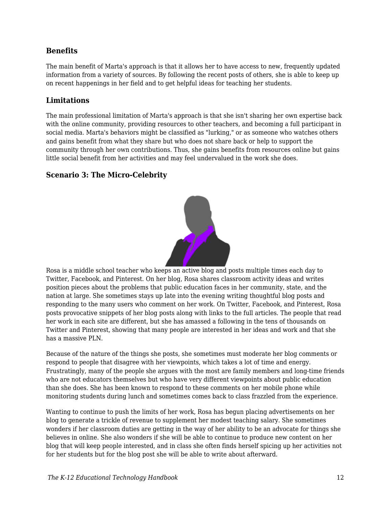### **Benefits**

The main benefit of Marta's approach is that it allows her to have access to new, frequently updated information from a variety of sources. By following the recent posts of others, she is able to keep up on recent happenings in her field and to get helpful ideas for teaching her students.

#### **Limitations**

The main professional limitation of Marta's approach is that she isn't sharing her own expertise back with the online community, providing resources to other teachers, and becoming a full participant in social media. Marta's behaviors might be classified as "lurking," or as someone who watches others and gains benefit from what they share but who does not share back or help to support the community through her own contributions. Thus, she gains benefits from resources online but gains little social benefit from her activities and may feel undervalued in the work she does.

### **Scenario 3: The Micro-Celebrity**



Rosa is a middle school teacher who keeps an active blog and posts multiple times each day to Twitter, Facebook, and Pinterest. On her blog, Rosa shares classroom activity ideas and writes position pieces about the problems that public education faces in her community, state, and the nation at large. She sometimes stays up late into the evening writing thoughtful blog posts and responding to the many users who comment on her work. On Twitter, Facebook, and Pinterest, Rosa posts provocative snippets of her blog posts along with links to the full articles. The people that read her work in each site are different, but she has amassed a following in the tens of thousands on Twitter and Pinterest, showing that many people are interested in her ideas and work and that she has a massive PLN.

Because of the nature of the things she posts, she sometimes must moderate her blog comments or respond to people that disagree with her viewpoints, which takes a lot of time and energy. Frustratingly, many of the people she argues with the most are family members and long-time friends who are not educators themselves but who have very different viewpoints about public education than she does. She has been known to respond to these comments on her mobile phone while monitoring students during lunch and sometimes comes back to class frazzled from the experience.

Wanting to continue to push the limits of her work, Rosa has begun placing advertisements on her blog to generate a trickle of revenue to supplement her modest teaching salary. She sometimes wonders if her classroom duties are getting in the way of her ability to be an advocate for things she believes in online. She also wonders if she will be able to continue to produce new content on her blog that will keep people interested, and in class she often finds herself spicing up her activities not for her students but for the blog post she will be able to write about afterward.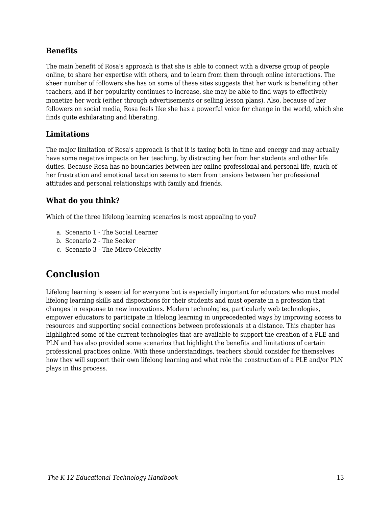#### **Benefits**

The main benefit of Rosa's approach is that she is able to connect with a diverse group of people online, to share her expertise with others, and to learn from them through online interactions. The sheer number of followers she has on some of these sites suggests that her work is benefiting other teachers, and if her popularity continues to increase, she may be able to find ways to effectively monetize her work (either through advertisements or selling lesson plans). Also, because of her followers on social media, Rosa feels like she has a powerful voice for change in the world, which she finds quite exhilarating and liberating.

### **Limitations**

The major limitation of Rosa's approach is that it is taxing both in time and energy and may actually have some negative impacts on her teaching, by distracting her from her students and other life duties. Because Rosa has no boundaries between her online professional and personal life, much of her frustration and emotional taxation seems to stem from tensions between her professional attitudes and personal relationships with family and friends.

### **What do you think?**

Which of the three lifelong learning scenarios is most appealing to you?

- a. Scenario 1 The Social Learner
- b. Scenario 2 The Seeker
- c. Scenario 3 The Micro-Celebrity

# **Conclusion**

Lifelong learning is essential for everyone but is especially important for educators who must model lifelong learning skills and dispositions for their students and must operate in a profession that changes in response to new innovations. Modern technologies, particularly web technologies, empower educators to participate in lifelong learning in unprecedented ways by improving access to resources and supporting social connections between professionals at a distance. This chapter has highlighted some of the current technologies that are available to support the creation of a PLE and PLN and has also provided some scenarios that highlight the benefits and limitations of certain professional practices online. With these understandings, teachers should consider for themselves how they will support their own lifelong learning and what role the construction of a PLE and/or PLN plays in this process.